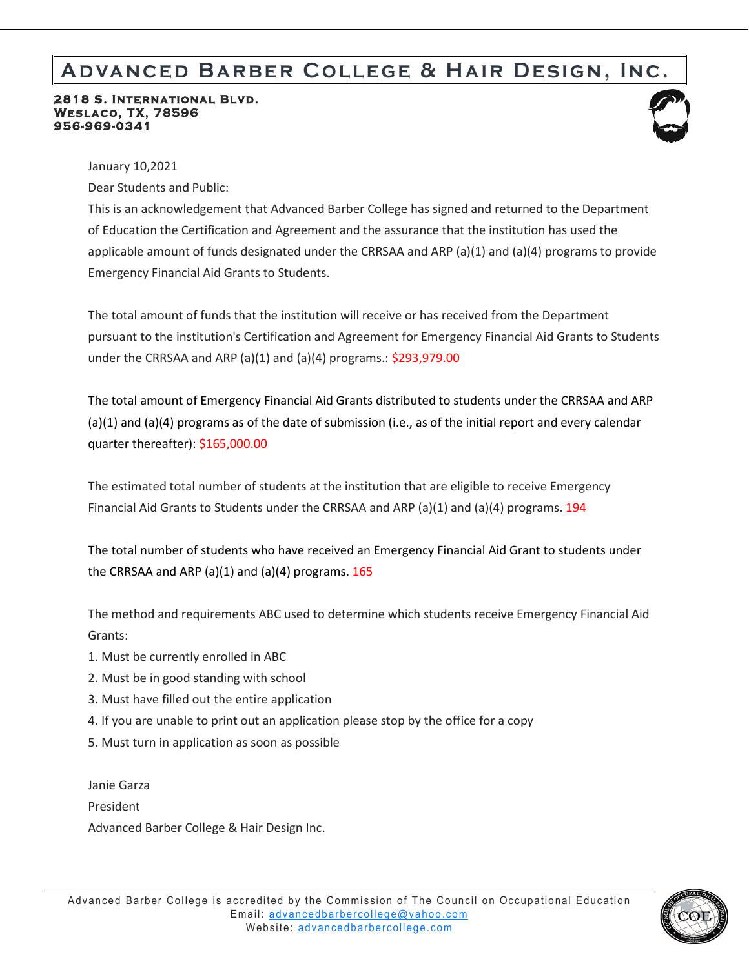## **Advanced Barber College & Hair Design, Inc.**

## **2818 S. International Blvd. Weslaco, TX, 78596 956-969-0341**



January 10,2021

Dear Students and Public:

This is an acknowledgement that Advanced Barber College has signed and returned to the Department of Education the Certification and Agreement and the assurance that the institution has used the applicable amount of funds designated under the CRRSAA and ARP (a)(1) and (a)(4) programs to provide Emergency Financial Aid Grants to Students.

The total amount of funds that the institution will receive or has received from the Department pursuant to the institution's Certification and Agreement for Emergency Financial Aid Grants to Students under the CRRSAA and ARP (a)(1) and (a)(4) programs.: \$293,979.00

The total amount of Emergency Financial Aid Grants distributed to students under the CRRSAA and ARP (a)(1) and (a)(4) programs as of the date of submission (i.e., as of the initial report and every calendar quarter thereafter): \$165,000.00

The estimated total number of students at the institution that are eligible to receive Emergency Financial Aid Grants to Students under the CRRSAA and ARP (a)(1) and (a)(4) programs. 194

The total number of students who have received an Emergency Financial Aid Grant to students under the CRRSAA and ARP (a)(1) and (a)(4) programs.  $165$ 

The method and requirements ABC used to determine which students receive Emergency Financial Aid Grants:

- 1. Must be currently enrolled in ABC
- 2. Must be in good standing with school
- 3. Must have filled out the entire application
- 4. If you are unable to print out an application please stop by the office for a copy
- 5. Must turn in application as soon as possible

Janie Garza President Advanced Barber College & Hair Design Inc.